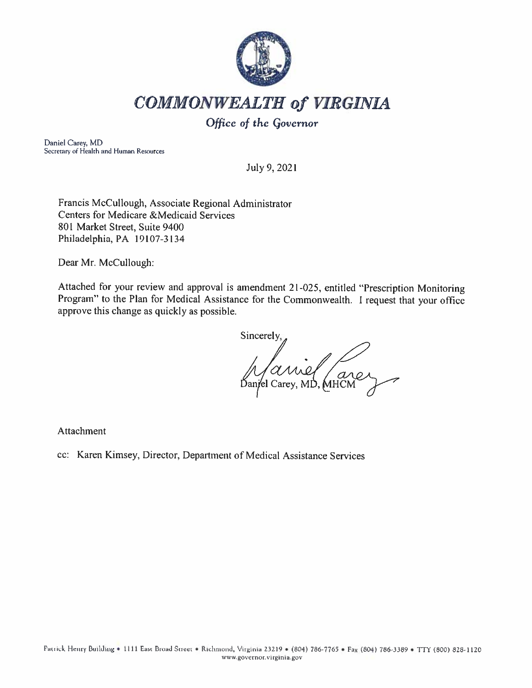

# **COMMONWEALTH of VIRGINIA**

## Office of the Governor

Daniel Carey, MD Secretary of Health and Human Resources

July 9, 2021

Francis McCullough, Associate Regional Administrator **Centers for Medicare &Medicaid Services** 801 Market Street, Suite 9400 Philadelphia, PA 19107-3134

Dear Mr. McCullough:

Attached for your review and approval is amendment 21-025, entitled "Prescription Monitoring Program" to the Plan for Medical Assistance for the Commonwealth. I request that your office approve this change as quickly as possible.

Sincerely, arer

Attachment

cc: Karen Kimsey, Director, Department of Medical Assistance Services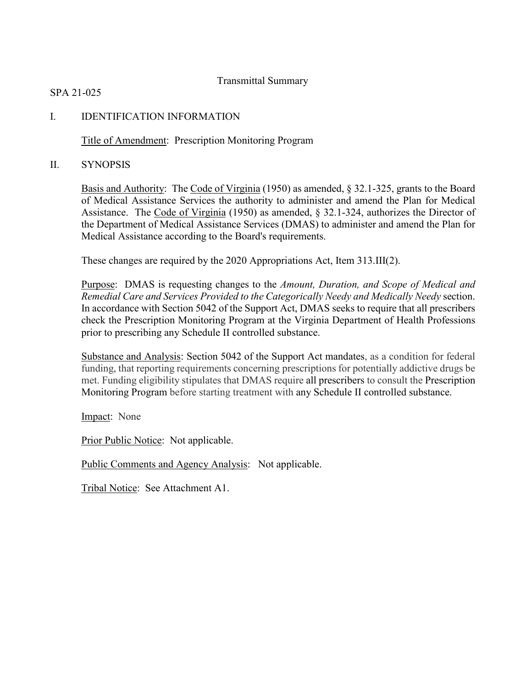## Transmittal Summary

SPA 21-025

## I. IDENTIFICATION INFORMATION

Title of Amendment: Prescription Monitoring Program

II. SYNOPSIS

Basis and Authority: The Code of Virginia (1950) as amended, § 32.1-325, grants to the Board of Medical Assistance Services the authority to administer and amend the Plan for Medical Assistance. The Code of Virginia (1950) as amended, § 32.1-324, authorizes the Director of the Department of Medical Assistance Services (DMAS) to administer and amend the Plan for Medical Assistance according to the Board's requirements.

These changes are required by the 2020 Appropriations Act, Item 313.III(2).

Purpose: DMAS is requesting changes to the *Amount, Duration, and Scope of Medical and Remedial Care and Services Provided to the Categorically Needy and Medically Needy* section. In accordance with Section 5042 of the Support Act, DMAS seeks to require that all prescribers check the Prescription Monitoring Program at the Virginia Department of Health Professions prior to prescribing any Schedule II controlled substance.

Substance and Analysis: Section 5042 of the Support Act mandates, as a condition for federal funding, that reporting requirements concerning prescriptions for potentially addictive drugs be met. Funding eligibility stipulates that DMAS require all prescribers to consult the Prescription Monitoring Program before starting treatment with any Schedule II controlled substance.

Impact: None

Prior Public Notice: Not applicable.

Public Comments and Agency Analysis: Not applicable.

Tribal Notice: See Attachment A1.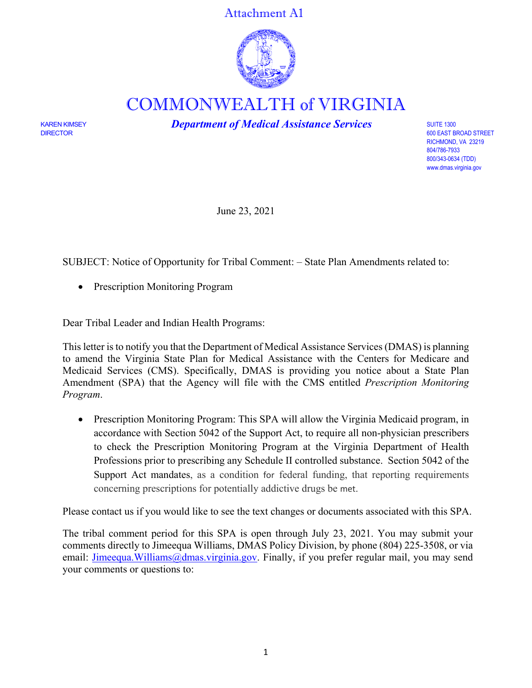Attachment A1



COMMONWEALTH of VIRGINIA

KAREN KIMSEY *Department of Medical Assistance Services* SUITE 1300

600 EAST BROAD STREET RICHMOND, VA 23219 804/786-7933 800/343-0634 (TDD) [www.dmas.virginia.gov](http://www.dmas.virginia.gov/)

June 23, 2021

SUBJECT: Notice of Opportunity for Tribal Comment: – State Plan Amendments related to:

• Prescription Monitoring Program

Dear Tribal Leader and Indian Health Programs:

This letter is to notify you that the Department of Medical Assistance Services (DMAS) is planning to amend the Virginia State Plan for Medical Assistance with the Centers for Medicare and Medicaid Services (CMS). Specifically, DMAS is providing you notice about a State Plan Amendment (SPA) that the Agency will file with the CMS entitled *Prescription Monitoring Program*.

• Prescription Monitoring Program: This SPA will allow the Virginia Medicaid program, in accordance with Section 5042 of the Support Act, to require all non-physician prescribers to check the Prescription Monitoring Program at the Virginia Department of Health Professions prior to prescribing any Schedule II controlled substance. Section 5042 of the Support Act mandates, as a condition for federal funding, that reporting requirements concerning prescriptions for potentially addictive drugs be met.

Please contact us if you would like to see the text changes or documents associated with this SPA.

The tribal comment period for this SPA is open through July 23, 2021. You may submit your comments directly to Jimeequa Williams, DMAS Policy Division, by phone (804) 225-3508, or via email: [Jimeequa.Williams@dmas.virginia.gov.](mailto:Jimeequa.Williams@dmas.virginia.gov) Finally, if you prefer regular mail, you may send your comments or questions to: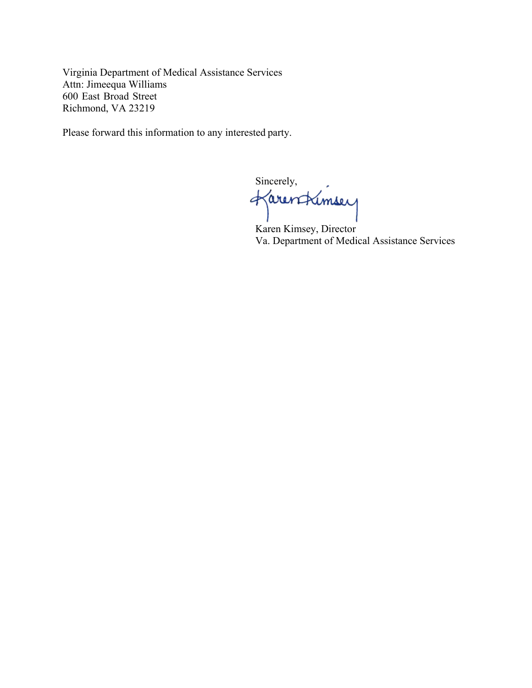Virginia Department of Medical Assistance Services Attn: Jimeequa Williams 600 East Broad Street Richmond, VA 23219

Please forward this information to any interested party.

Sincerely,<br>Karen Kimsey

Karen Kimsey, Director Va. Department of Medical Assistance Services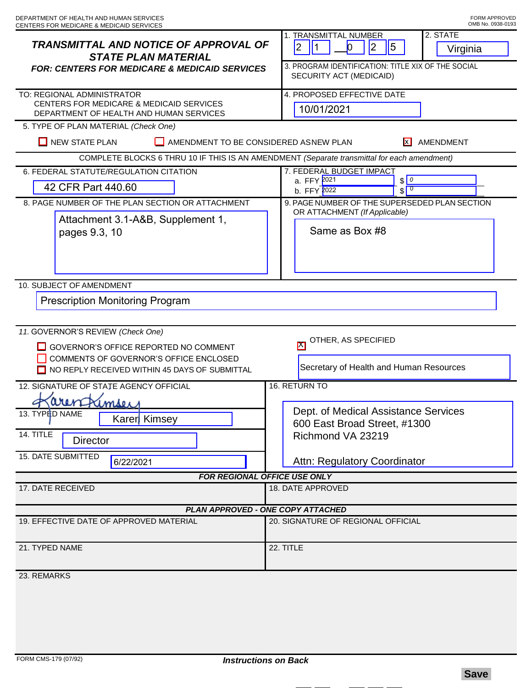| <b>TRANSMITTAL AND NOTICE OF APPROVAL OF</b><br><b>STATE PLAN MATERIAL</b><br><b>FOR: CENTERS FOR MEDICARE &amp; MEDICAID SERVICES</b>                                | 2. STATE<br><b>1. TRANSMITTAL NUMBER</b><br>5<br> 2 <br>2<br>11<br>n<br>Virginia<br>3. PROGRAM IDENTIFICATION: TITLE XIX OF THE SOCIAL<br>SECURITY ACT (MEDICAID) |
|-----------------------------------------------------------------------------------------------------------------------------------------------------------------------|-------------------------------------------------------------------------------------------------------------------------------------------------------------------|
| TO: REGIONAL ADMINISTRATOR<br>CENTERS FOR MEDICARE & MEDICAID SERVICES<br>DEPARTMENT OF HEALTH AND HUMAN SERVICES                                                     | 4. PROPOSED EFFECTIVE DATE<br>10/01/2021                                                                                                                          |
| 5. TYPE OF PLAN MATERIAL (Check One)                                                                                                                                  |                                                                                                                                                                   |
| $\Box$ NEW STATE PLAN<br>AMENDMENT TO BE CONSIDERED ASNEW PLAN<br><b>X</b> AMENDMENT                                                                                  |                                                                                                                                                                   |
| COMPLETE BLOCKS 6 THRU 10 IF THIS IS AN AMENDMENT (Separate transmittal for each amendment)                                                                           |                                                                                                                                                                   |
| 6. FEDERAL STATUTE/REGULATION CITATION                                                                                                                                | 7. FEDERAL BUDGET IMPACT<br>$\sqrt{0}$<br>a. FFY 2021                                                                                                             |
| 42 CFR Part 440.60                                                                                                                                                    | $\sqrt{0}$<br>b. FFY 2022                                                                                                                                         |
| 8. PAGE NUMBER OF THE PLAN SECTION OR ATTACHMENT                                                                                                                      | 9. PAGE NUMBER OF THE SUPERSEDED PLAN SECTION                                                                                                                     |
| Attachment 3.1-A&B, Supplement 1,<br>pages 9.3, 10                                                                                                                    | OR ATTACHMENT (If Applicable)<br>Same as Box #8                                                                                                                   |
| 10. SUBJECT OF AMENDMENT                                                                                                                                              |                                                                                                                                                                   |
| <b>Prescription Monitoring Program</b>                                                                                                                                |                                                                                                                                                                   |
| 11. GOVERNOR'S REVIEW (Check One)<br>GOVERNOR'S OFFICE REPORTED NO COMMENT<br>COMMENTS OF GOVERNOR'S OFFICE ENCLOSED<br>NO REPLY RECEIVED WITHIN 45 DAYS OF SUBMITTAL | OTHER, AS SPECIFIED<br>$\mathbb{M}$<br>Secretary of Health and Human Resources                                                                                    |
| 16. RETURN TO<br>12. SIGNATURE OF STATE AGENCY OFFICIAL                                                                                                               |                                                                                                                                                                   |
| amser<br>13. TYPED NAME<br>Karer Kimsey<br>14. TITLE<br><b>Director</b><br><b>15. DATE SUBMITTED</b><br>6/22/2021                                                     | Dept. of Medical Assistance Services<br>600 East Broad Street, #1300<br>Richmond VA 23219<br>Attn: Regulatory Coordinator                                         |
| FOR REGIONAL OFFICE USE ONLY                                                                                                                                          |                                                                                                                                                                   |
| 17. DATE RECEIVED                                                                                                                                                     | 18. DATE APPROVED                                                                                                                                                 |
| <b>PLAN APPROVED - ONE COPY ATTACHED</b>                                                                                                                              |                                                                                                                                                                   |
| 19. EFFECTIVE DATE OF APPROVED MATERIAL                                                                                                                               | 20. SIGNATURE OF REGIONAL OFFICIAL                                                                                                                                |
| 21. TYPED NAME                                                                                                                                                        | 22. TITLE                                                                                                                                                         |
| 23. REMARKS                                                                                                                                                           |                                                                                                                                                                   |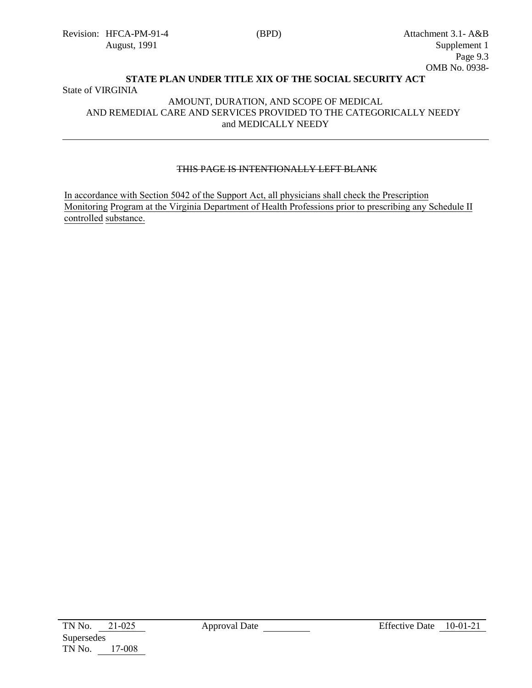## **STATE PLAN UNDER TITLE XIX OF THE SOCIAL SECURITY ACT** State of VIRGINIA

#### AMOUNT, DURATION, AND SCOPE OF MEDICAL AND REMEDIAL CARE AND SERVICES PROVIDED TO THE CATEGORICALLY NEEDY and MEDICALLY NEEDY

## THIS PAGE IS INTENTIONALLY LEFT BLANK

In accordance with Section 5042 of the Support Act, all physicians shall check the Prescription Monitoring Program at the Virginia Department of Health Professions prior to prescribing any Schedule II controlled substance.